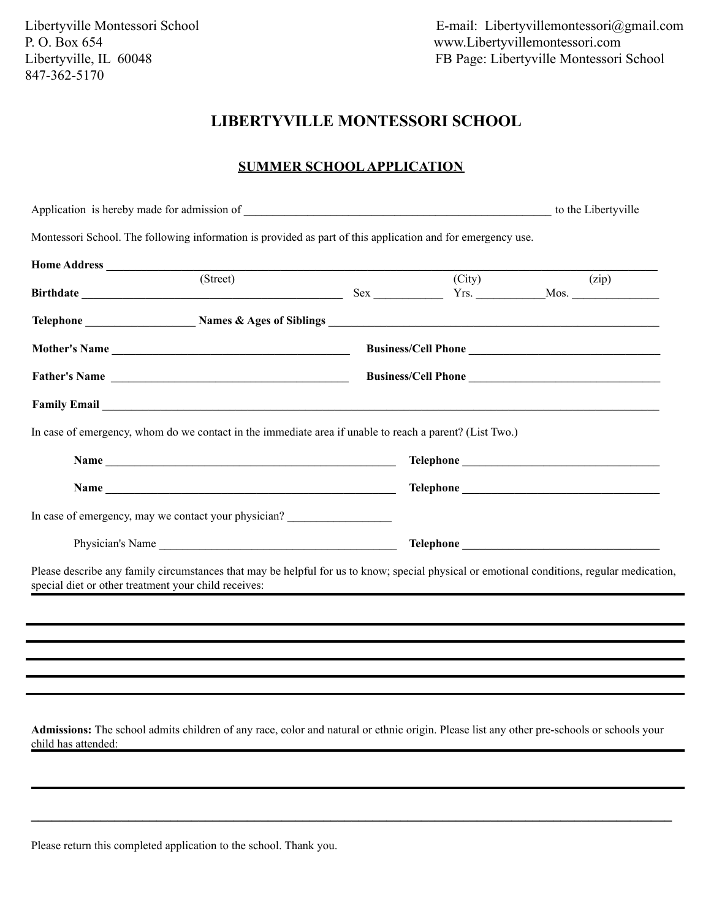## **LIBERTYVILLE MONTESSORI SCHOOL**

### **SUMMER SCHOOL APPLICATION**

|                                                      | Application is hereby made for admission of                                                                                                                                                                                          |        | to the Libertyville |
|------------------------------------------------------|--------------------------------------------------------------------------------------------------------------------------------------------------------------------------------------------------------------------------------------|--------|---------------------|
|                                                      | Montessori School. The following information is provided as part of this application and for emergency use.                                                                                                                          |        |                     |
|                                                      |                                                                                                                                                                                                                                      |        |                     |
|                                                      | (Street)                                                                                                                                                                                                                             | (City) | (zip)               |
|                                                      |                                                                                                                                                                                                                                      |        |                     |
|                                                      |                                                                                                                                                                                                                                      |        |                     |
|                                                      | Father's Name                                                                                                                                                                                                                        |        |                     |
|                                                      | Family Email <u>example and the set of the set of the set of the set of the set of the set of the set of the set of the set of the set of the set of the set of the set of the set of the set of the set of the set of the set o</u> |        |                     |
|                                                      | In case of emergency, whom do we contact in the immediate area if unable to reach a parent? (List Two.)                                                                                                                              |        |                     |
|                                                      |                                                                                                                                                                                                                                      |        |                     |
|                                                      | Name has a series of the series of the series of the series of the series of the series of the series of the series of the series of the series of the series of the series of the series of the series of the series of the s       |        |                     |
|                                                      | In case of emergency, may we contact your physician?                                                                                                                                                                                 |        |                     |
|                                                      |                                                                                                                                                                                                                                      |        |                     |
| special diet or other treatment your child receives: | Please describe any family circumstances that may be helpful for us to know; special physical or emotional conditions, regular medication,                                                                                           |        |                     |
|                                                      |                                                                                                                                                                                                                                      |        |                     |
|                                                      |                                                                                                                                                                                                                                      |        |                     |
|                                                      |                                                                                                                                                                                                                                      |        |                     |
|                                                      |                                                                                                                                                                                                                                      |        |                     |
|                                                      |                                                                                                                                                                                                                                      |        |                     |
|                                                      |                                                                                                                                                                                                                                      |        |                     |
| child has attended:                                  | Admissions: The school admits children of any race, color and natural or ethnic origin. Please list any other pre-schools or schools your                                                                                            |        |                     |

**\_\_\_\_\_\_\_\_\_\_\_\_\_\_\_\_\_\_\_\_\_\_\_\_\_\_\_\_\_\_\_\_\_\_\_\_\_\_\_\_\_\_\_\_\_\_\_\_\_\_\_\_\_\_\_\_\_\_\_\_\_\_\_\_\_\_\_\_\_\_\_\_\_\_\_\_\_\_\_\_\_\_\_\_\_\_\_\_\_\_\_\_**

Please return this completed application to the school. Thank you.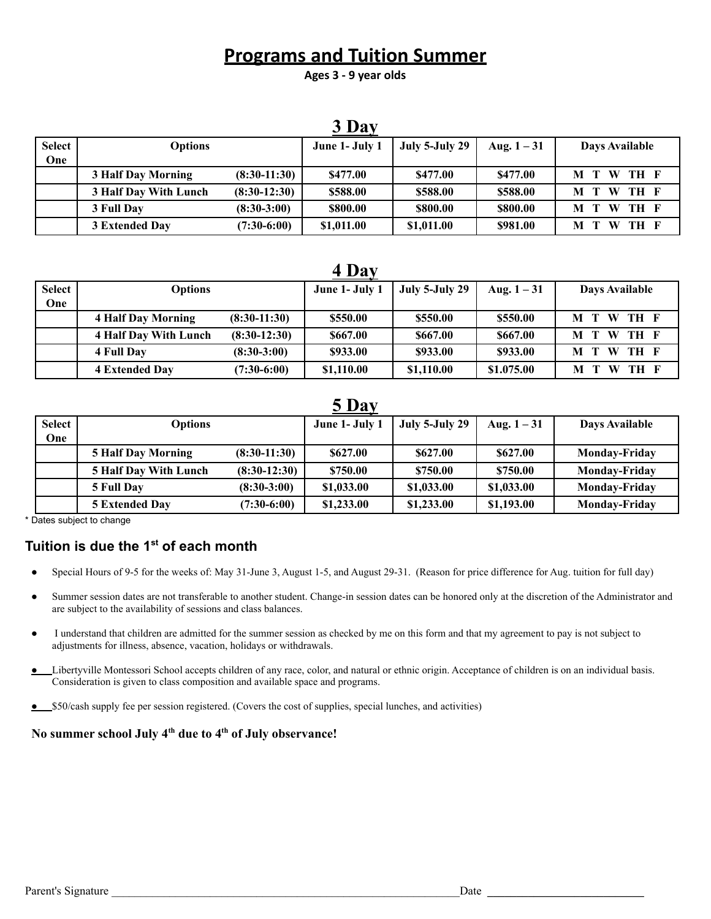# **Programs and Tuition Summer**

**Ages 3 - 9 year olds**

|               |                       |                | 3 Day          |                |               |                  |
|---------------|-----------------------|----------------|----------------|----------------|---------------|------------------|
| <b>Select</b> | <b>Options</b>        |                | June 1- July 1 | July 5-July 29 | Aug. $1 - 31$ | Days Available   |
| One           |                       |                |                |                |               |                  |
|               | 3 Half Day Morning    | $(8:30-11:30)$ | \$477.00       | \$477.00       | \$477.00      | M T W TH F       |
|               | 3 Half Day With Lunch | $(8:30-12:30)$ | \$588.00       | \$588.00       | \$588.00      | W<br>TH F<br>M T |
|               | 3 Full Day            | $(8:30-3:00)$  | \$800.00       | \$800.00       | \$800.00      | TH F<br>M T<br>W |
|               | 3 Extended Day        | $(7:30-6:00)$  | \$1,011.00     | \$1,011.00     | \$981.00      | TH F<br>W<br>M T |

### **4 Day**

| <b>Select</b> | <b>Options</b>            |                | June 1- July 1 | July 5-July 29 | Aug. $1 - 31$ | Days Available |
|---------------|---------------------------|----------------|----------------|----------------|---------------|----------------|
| One           |                           |                |                |                |               |                |
|               | <b>4 Half Day Morning</b> | $(8:30-11:30)$ | \$550.00       | \$550.00       | \$550.00      | M T W TH F     |
|               | 4 Half Day With Lunch     | $(8:30-12:30)$ | \$667.00       | \$667.00       | \$667.00      | M T W TH F     |
|               | 4 Full Day                | $(8:30-3:00)$  | \$933.00       | \$933.00       | \$933.00      | M T W TH F     |
|               | <b>4 Extended Day</b>     | $(7:30-6:00)$  | \$1,110.00     | \$1,110.00     | \$1.075.00    | M T W TH F     |

## **5 Day**

|               | $\mathbf{v}$ $\mathbf{v}$ $\mathbf{u}$ $\mathbf{y}$ |                |                |                |               |                      |  |  |
|---------------|-----------------------------------------------------|----------------|----------------|----------------|---------------|----------------------|--|--|
| <b>Select</b> | <b>Options</b>                                      |                | June 1- July 1 | July 5-July 29 | Aug. $1 - 31$ | Days Available       |  |  |
| One           |                                                     |                |                |                |               |                      |  |  |
|               | <b>5 Half Day Morning</b>                           | $(8:30-11:30)$ | \$627.00       | \$627.00       | \$627.00      | <b>Monday-Friday</b> |  |  |
|               | <b>5 Half Day With Lunch</b>                        | $(8:30-12:30)$ | \$750.00       | \$750.00       | \$750.00      | <b>Monday-Friday</b> |  |  |
|               | 5 Full Day                                          | $(8:30-3:00)$  | \$1,033.00     | \$1,033.00     | \$1,033.00    | <b>Monday-Friday</b> |  |  |
|               | <b>5 Extended Day</b>                               | $(7:30-6:00)$  | \$1,233.00     | \$1,233.00     | \$1,193.00    | <b>Monday-Friday</b> |  |  |

\* Dates subject to change

## **Tuition is due the 1st of each month**

- Special Hours of 9-5 for the weeks of: May 31-June 3, August 1-5, and August 29-31. (Reason for price difference for Aug. tuition for full day)
- Summer session dates are not transferable to another student. Change-in session dates can be honored only at the discretion of the Administrator and are subject to the availability of sessions and class balances.
- I understand that children are admitted for the summer session as checked by me on this form and that my agreement to pay is not subject to adjustments for illness, absence, vacation, holidays or withdrawals.
- **●** Libertyville Montessori School accepts children of any race, color, and natural or ethnic origin. Acceptance of children is on an individual basis. Consideration is given to class composition and available space and programs.
- **●** \$50/cash supply fee per session registered. (Covers the cost of supplies, special lunches, and activities)

#### **No summer school July 4 th due to 4 th of July observance!**